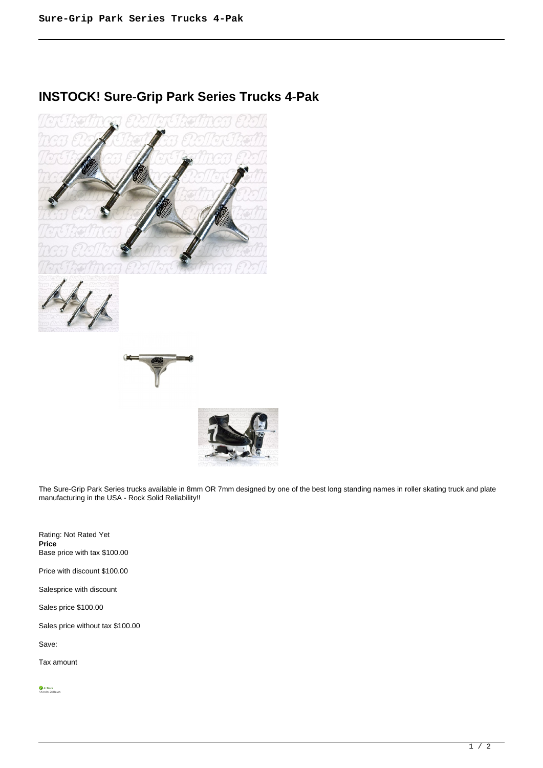## **INSTOCK! Sure-Grip Park Series Trucks 4-Pak**



The Sure-Grip Park Series trucks available in 8mm OR 7mm designed by one of the best long standing names in roller skating truck and plate manufacturing in the USA - Rock Solid Reliability!!

Rating: Not Rated Yet **Price**  Base price with tax \$100.00 Price with discount \$100.00 Salesprice with discount Sales price \$100.00 Sales price without tax \$100.00

Save:

Tax amount

 $\frac{1}{\sqrt{2}}$  *In Stock*<br>Ships In: 24 Hours